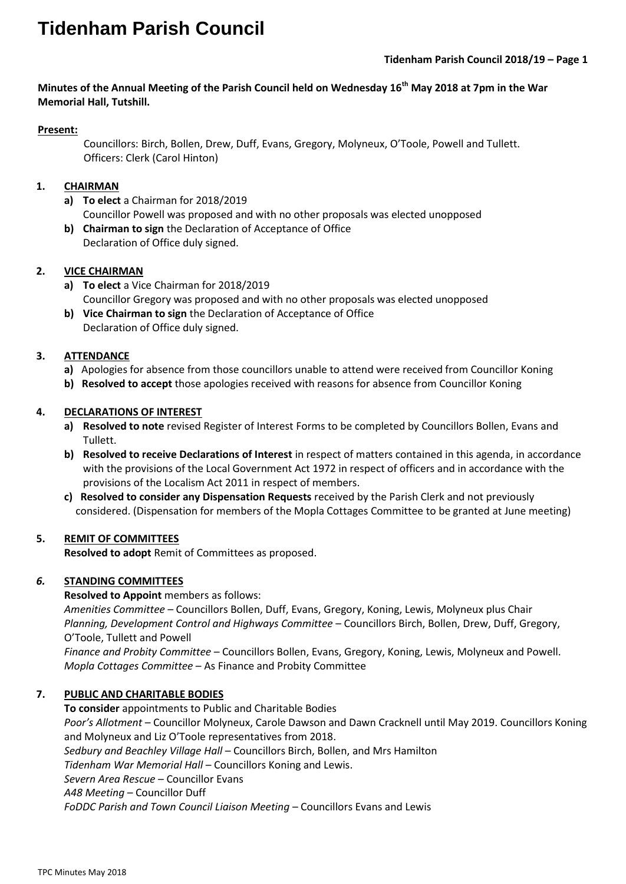# **Tidenham Parish Council**

# **Minutes of the Annual Meeting of the Parish Council held on Wednesday 16th May 2018 at 7pm in the War Memorial Hall, Tutshill.**

### **Present:**

 Councillors: Birch, Bollen, Drew, Duff, Evans, Gregory, Molyneux, O'Toole, Powell and Tullett. Officers: Clerk (Carol Hinton)

### **1. CHAIRMAN**

- **a) To elect** a Chairman for 2018/2019 Councillor Powell was proposed and with no other proposals was elected unopposed
- **b) Chairman to sign** the Declaration of Acceptance of Office Declaration of Office duly signed.

### **2. VICE CHAIRMAN**

- **a) To elect** a Vice Chairman for 2018/2019 Councillor Gregory was proposed and with no other proposals was elected unopposed
- **b) Vice Chairman to sign** the Declaration of Acceptance of Office Declaration of Office duly signed.

### **3. ATTENDANCE**

- **a)** Apologies for absence from those councillors unable to attend were received from Councillor Koning
- **b) Resolved to accept** those apologies received with reasons for absence from Councillor Koning

### **4. DECLARATIONS OF INTEREST**

- **a) Resolved to note** revised Register of Interest Forms to be completed by Councillors Bollen, Evans and Tullett.
- **b) Resolved to receive Declarations of Interest** in respect of matters contained in this agenda, in accordance with the provisions of the Local Government Act 1972 in respect of officers and in accordance with the provisions of the Localism Act 2011 in respect of members.
- **c) Resolved to consider any Dispensation Requests** received by the Parish Clerk and not previously considered. (Dispensation for members of the Mopla Cottages Committee to be granted at June meeting)

# **5. REMIT OF COMMITTEES**

**Resolved to adopt** Remit of Committees as proposed.

# *6.* **STANDING COMMITTEES**

**Resolved to Appoint** members as follows: *Amenities Committee –* Councillors Bollen, Duff, Evans, Gregory, Koning, Lewis, Molyneux plus Chair *Planning, Development Control and Highways Committee* – Councillors Birch, Bollen, Drew, Duff, Gregory, O'Toole, Tullett and Powell *Finance and Probity Committee* – Councillors Bollen, Evans, Gregory, Koning, Lewis, Molyneux and Powell. *Mopla Cottages Committee* – As Finance and Probity Committee

# **7. PUBLIC AND CHARITABLE BODIES**

**To consider** appointments to Public and Charitable Bodies *Poor's Allotment* – Councillor Molyneux, Carole Dawson and Dawn Cracknell until May 2019. Councillors Koning and Molyneux and Liz O'Toole representatives from 2018. *Sedbury and Beachley Village Hall* – Councillors Birch, Bollen, and Mrs Hamilton *Tidenham War Memorial Hall* – Councillors Koning and Lewis. *Severn Area Rescue* – Councillor Evans *A48 Meeting* – Councillor Duff *FoDDC Parish and Town Council Liaison Meeting* – Councillors Evans and Lewis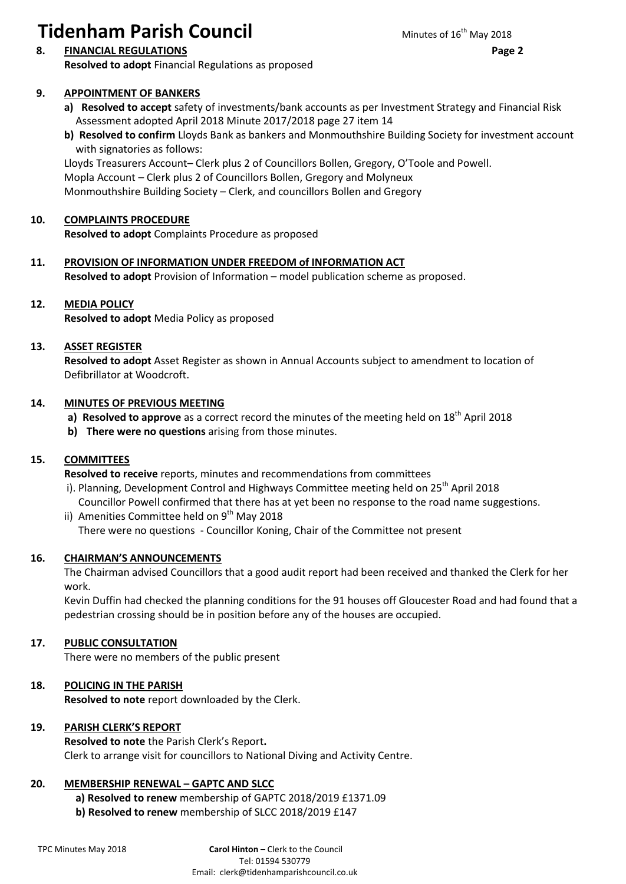# **Tidenham Parish Council** Minutes of 16<sup>th</sup> May 2018

# **9. APPOINTMENT OF BANKERS**

- **a) Resolved to accept** safety of investments/bank accounts as per Investment Strategy and Financial Risk Assessment adopted April 2018 Minute 2017/2018 page 27 item 14
- **b) Resolved to confirm** Lloyds Bank as bankers and Monmouthshire Building Society for investment account with signatories as follows:

Lloyds Treasurers Account– Clerk plus 2 of Councillors Bollen, Gregory, O'Toole and Powell. Mopla Account – Clerk plus 2 of Councillors Bollen, Gregory and Molyneux Monmouthshire Building Society – Clerk, and councillors Bollen and Gregory

## **10. COMPLAINTS PROCEDURE**

**Resolved to adopt** Complaints Procedure as proposed

**11. PROVISION OF INFORMATION UNDER FREEDOM of INFORMATION ACT Resolved to adopt** Provision of Information – model publication scheme as proposed.

#### **12. MEDIA POLICY**

**Resolved to adopt** Media Policy as proposed

#### **13. ASSET REGISTER**

**Resolved to adopt** Asset Register as shown in Annual Accounts subject to amendment to location of Defibrillator at Woodcroft.

#### **14. MINUTES OF PREVIOUS MEETING**

- **a) Resolved to approve** as a correct record the minutes of the meeting held on 18<sup>th</sup> April 2018
- **b) There were no questions** arising from those minutes.

# **15. COMMITTEES**

**Resolved to receive** reports, minutes and recommendations from committees

- i). Planning, Development Control and Highways Committee meeting held on 25<sup>th</sup> April 2018 Councillor Powell confirmed that there has at yet been no response to the road name suggestions.
- ii) Amenities Committee held on  $9<sup>th</sup>$  May 2018 There were no questions - Councillor Koning, Chair of the Committee not present

#### **16. CHAIRMAN'S ANNOUNCEMENTS**

The Chairman advised Councillors that a good audit report had been received and thanked the Clerk for her work.

Kevin Duffin had checked the planning conditions for the 91 houses off Gloucester Road and had found that a pedestrian crossing should be in position before any of the houses are occupied.

#### **17. PUBLIC CONSULTATION**

There were no members of the public present

# **18. POLICING IN THE PARISH**

**Resolved to note** report downloaded by the Clerk.

#### **19. PARISH CLERK'S REPORT**

**Resolved to note** the Parish Clerk's Report**.** Clerk to arrange visit for councillors to National Diving and Activity Centre.

#### **20. MEMBERSHIP RENEWAL - GAPTC AND SLCC**

**a) Resolved to renew** membership of GAPTC 2018/2019 £1371.09

**b) Resolved to renew** membership of SLCC 2018/2019 £147